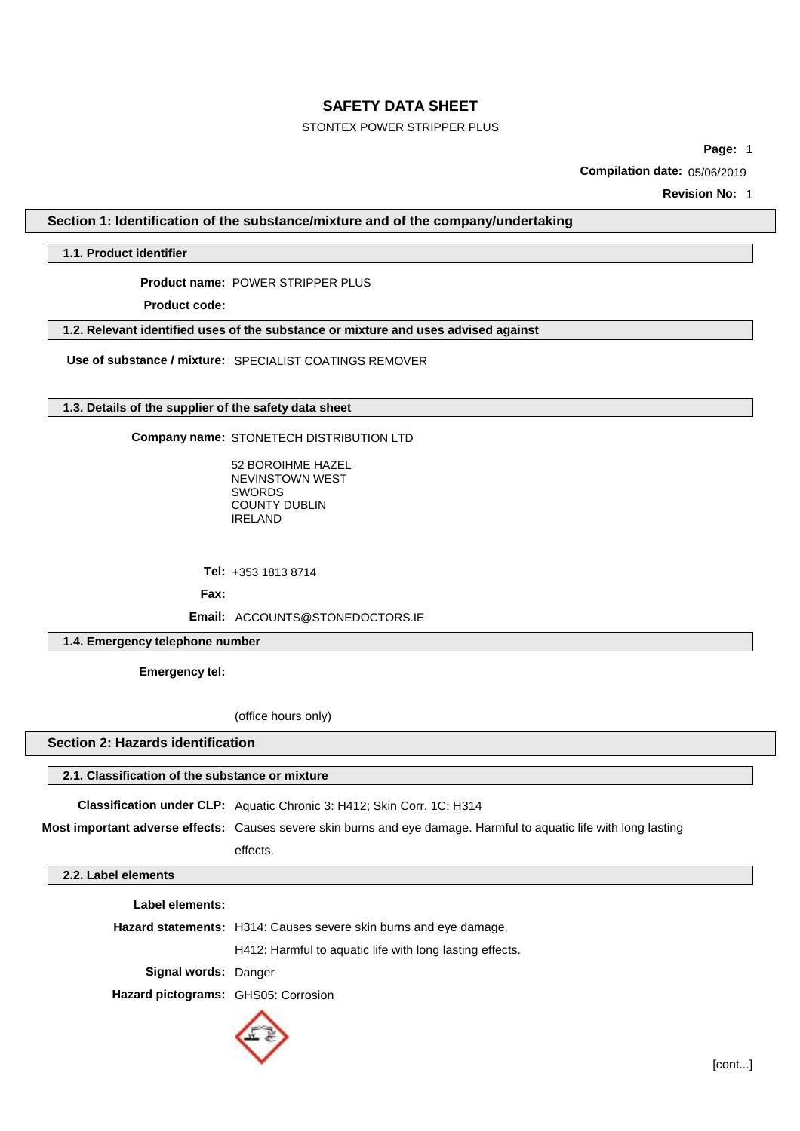# STONTEX POWER STRIPPER PLUS

**Page:** 1

**Compilation date: 05/06/2019** 

**Revision No:** 1

**Section 1: Identification of the substance/mixture and of the company/undertaking**

**1.1. Product identifier**

Product name: POWER STRIPPER PLUS

**Product code:** 

**1.2. Relevant identified uses of the substance or mixture and uses advised against**

**Use of substance / mixture:** SPECIALIST COATINGS REMOVER

# **1.3. Details of the supplier of the safety data sheet**

**Company name: STONETECH DISTRIBUTION LTD** 

52 BOROIHME HAZEL NEVINSTOWN WEST COUNTY DUBLIN IRELAND SWORDS

**Tel:** +353 1813 8714

Fax:

**Email:** ACCOUNTS@STONEDOCTORS.IE

**1.4. Emergency telephone number**

**Emergency tel:** 

(office hours only)

**Section 2: Hazards identification**

**2.1. Classification of the substance or mixture Classification under CLP:** Aquatic Chronic 3: H412; Skin Corr. 1C: H314 **Most important adverse effects:** Causes severe skin burns and eye damage. Harmful to aquatic life with long lasting effects. **2.2. Label elements Label elements:**

|                                     | <b>Hazard statements:</b> H314: Causes severe skin burns and eye damage. |  |  |
|-------------------------------------|--------------------------------------------------------------------------|--|--|
|                                     | H412: Harmful to aquatic life with long lasting effects.                 |  |  |
| <b>Signal words: Danger</b>         |                                                                          |  |  |
| Hazard pictograms: GHS05: Corrosion |                                                                          |  |  |
|                                     |                                                                          |  |  |

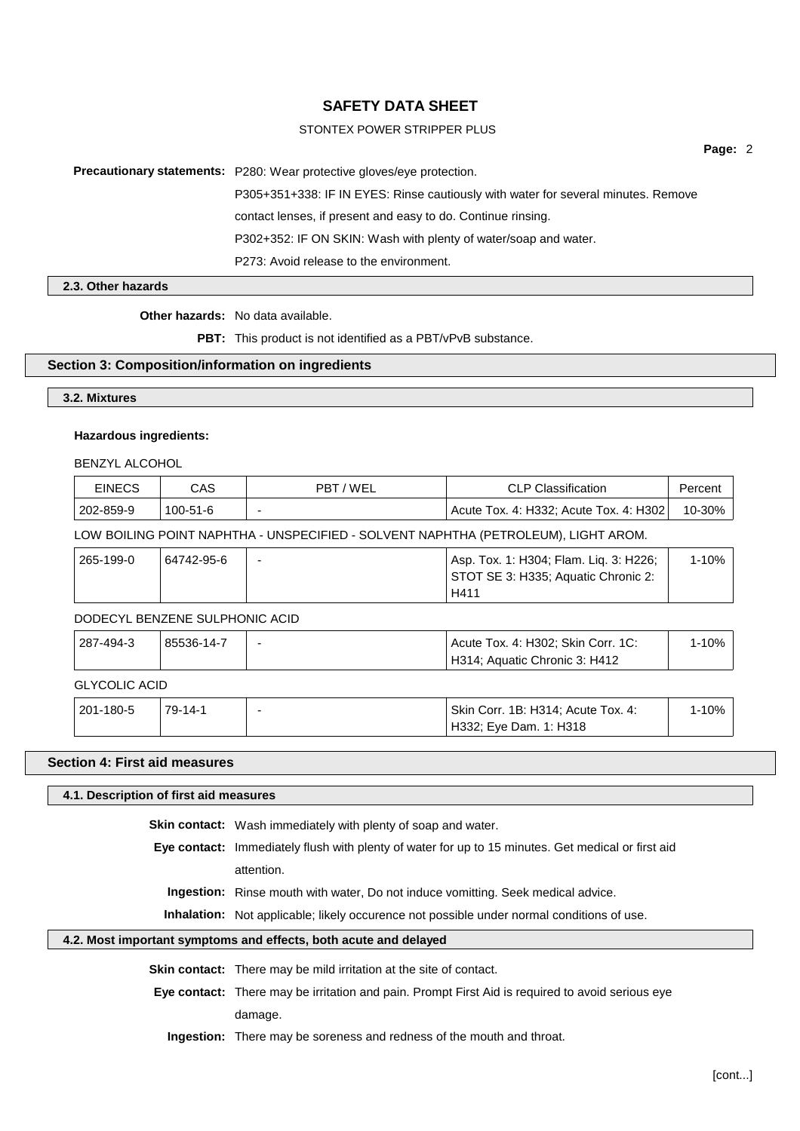# STONTEX POWER STRIPPER PLUS

**Page:** 2

**Precautionary statements:** P280: Wear protective gloves/eye protection.

P305+351+338: IF IN EYES: Rinse cautiously with water for several minutes. Remove

contact lenses, if present and easy to do. Continue rinsing.

P302+352: IF ON SKIN: Wash with plenty of water/soap and water.

P273: Avoid release to the environment.

## **2.3. Other hazards**

**Other hazards:** No data available.

**PBT:** This product is not identified as a PBT/vPvB substance.

## **Section 3: Composition/information on ingredients**

**3.2. Mixtures**

#### **Hazardous ingredients:**

BENZYL ALCOHOL

|                                                                                    | <b>EINECS</b> | CAS            | PBT/WEL | <b>CLP Classification</b>                           | Percent   |  |
|------------------------------------------------------------------------------------|---------------|----------------|---------|-----------------------------------------------------|-----------|--|
|                                                                                    | 202-859-9     | $100 - 51 - 6$ |         | Acute Tox. 4: H332; Acute Tox. 4: H302              | 10-30%    |  |
| LOW BOILING POINT NAPHTHA - UNSPECIFIED - SOLVENT NAPHTHA (PETROLEUM), LIGHT AROM. |               |                |         |                                                     |           |  |
|                                                                                    | 265, 400, 0   | 61712066       |         | $A_{\rm CD}$ Toy $A_{\rm C}$ 4904 Flam Lig 2. H228. | 1 1 0 0 / |  |

| 265-199-0 | 64742-95-6 | Asp. Tox. 1: H304; Flam. Lig. 3: H226; | 1-10% |
|-----------|------------|----------------------------------------|-------|
|           |            | STOT SE 3: H335; Aquatic Chronic 2:    |       |
|           |            | H411                                   |       |

#### DODECYL BENZENE SULPHONIC ACID

| $ 287 - 494 - 3 $    | 85536-14-7 | - | Acute Tox. 4: H302; Skin Corr. 1C: | $1 - 10\%$ |  |
|----------------------|------------|---|------------------------------------|------------|--|
|                      |            |   | H314; Aquatic Chronic 3: H412      |            |  |
| <b>GLYCOLIC ACID</b> |            |   |                                    |            |  |

| ี่ 201-180-5 | 79-14-1 | <sup>1</sup> Skin Corr. 1B: H314; Acute Tox. 4: | $-10%$ |  |
|--------------|---------|-------------------------------------------------|--------|--|
|              |         | H332: Eve Dam. 1: H318                          |        |  |

## **Section 4: First aid measures**

#### **4.1. Description of first aid measures**

**Skin contact:** Wash immediately with plenty of soap and water.

**Eye contact:** Immediately flush with plenty of water for up to 15 minutes. Get medical or first aid attention.

**Ingestion:** Rinse mouth with water, Do not induce vomitting. Seek medical advice.

**Inhalation:** Not applicable; likely occurence not possible under normal conditions of use.

# **4.2. Most important symptoms and effects, both acute and delayed**

**Skin contact:** There may be mild irritation at the site of contact.

**Eye contact:** There may be irritation and pain. Prompt First Aid is required to avoid serious eye damage.

**Ingestion:** There may be soreness and redness of the mouth and throat.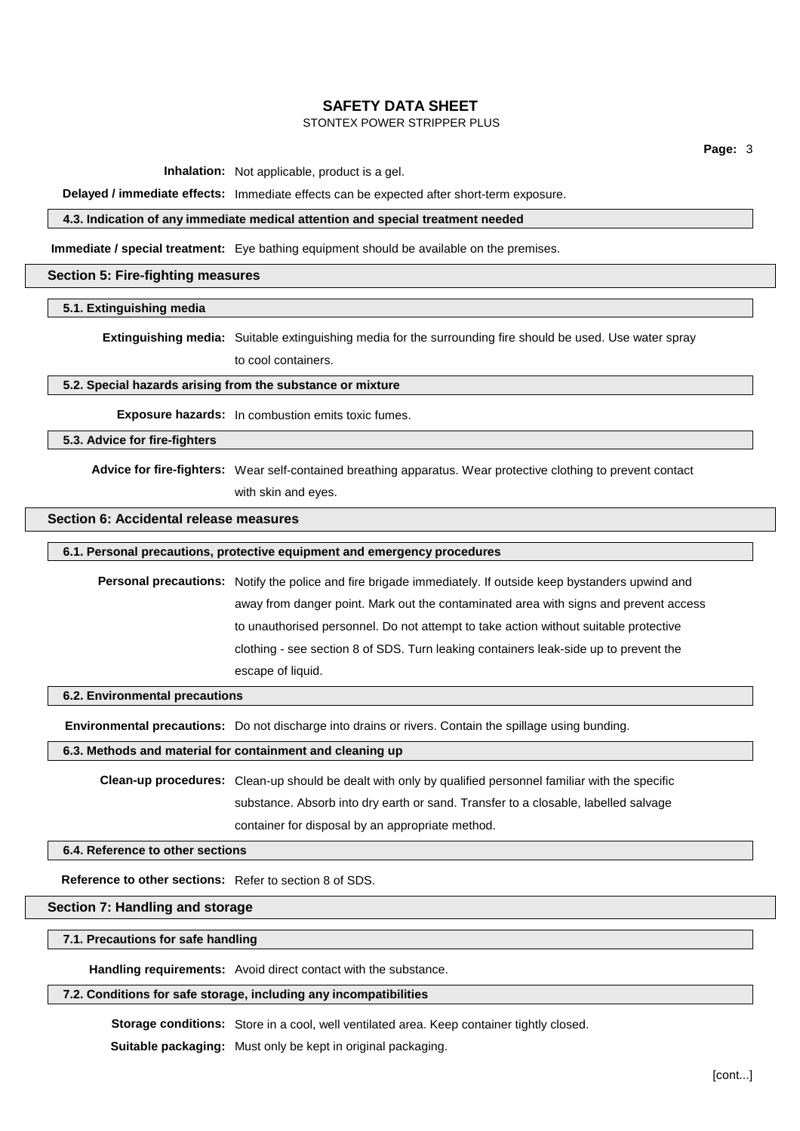# STONTEX POWER STRIPPER PLUS

**Page:** 3

**Inhalation:** Not applicable, product is a gel.

**Delayed / immediate effects:** Immediate effects can be expected after short-term exposure.

# **4.3. Indication of any immediate medical attention and special treatment needed**

**Immediate / special treatment:** Eye bathing equipment should be available on the premises.

#### **Section 5: Fire-fighting measures**

#### **5.1. Extinguishing media**

**Extinguishing media:** Suitable extinguishing media for the surrounding fire should be used. Use water spray to cool containers.

## **5.2. Special hazards arising from the substance or mixture**

**Exposure hazards:** In combustion emits toxic fumes.

**5.3. Advice for fire-fighters**

**Advice for fire-fighters:** Wear self-contained breathing apparatus. Wear protective clothing to prevent contact with skin and eyes.

# **Section 6: Accidental release measures**

# **6.1. Personal precautions, protective equipment and emergency procedures**

**Personal precautions:** Notify the police and fire brigade immediately. If outside keep bystanders upwind and away from danger point. Mark out the contaminated area with signs and prevent access to unauthorised personnel. Do not attempt to take action without suitable protective clothing - see section 8 of SDS. Turn leaking containers leak-side up to prevent the escape of liquid.

#### **6.2. Environmental precautions**

**Environmental precautions:** Do not discharge into drains or rivers. Contain the spillage using bunding.

**6.3. Methods and material for containment and cleaning up**

**Clean-up procedures:** Clean-up should be dealt with only by qualified personnel familiar with the specific substance. Absorb into dry earth or sand. Transfer to a closable, labelled salvage container for disposal by an appropriate method.

**6.4. Reference to other sections**

**Reference to other sections:** Refer to section 8 of SDS.

# **Section 7: Handling and storage**

**7.1. Precautions for safe handling**

**Handling requirements:** Avoid direct contact with the substance.

## **7.2. Conditions for safe storage, including any incompatibilities**

**Storage conditions:** Store in a cool, well ventilated area. Keep container tightly closed.

**Suitable packaging:** Must only be kept in original packaging.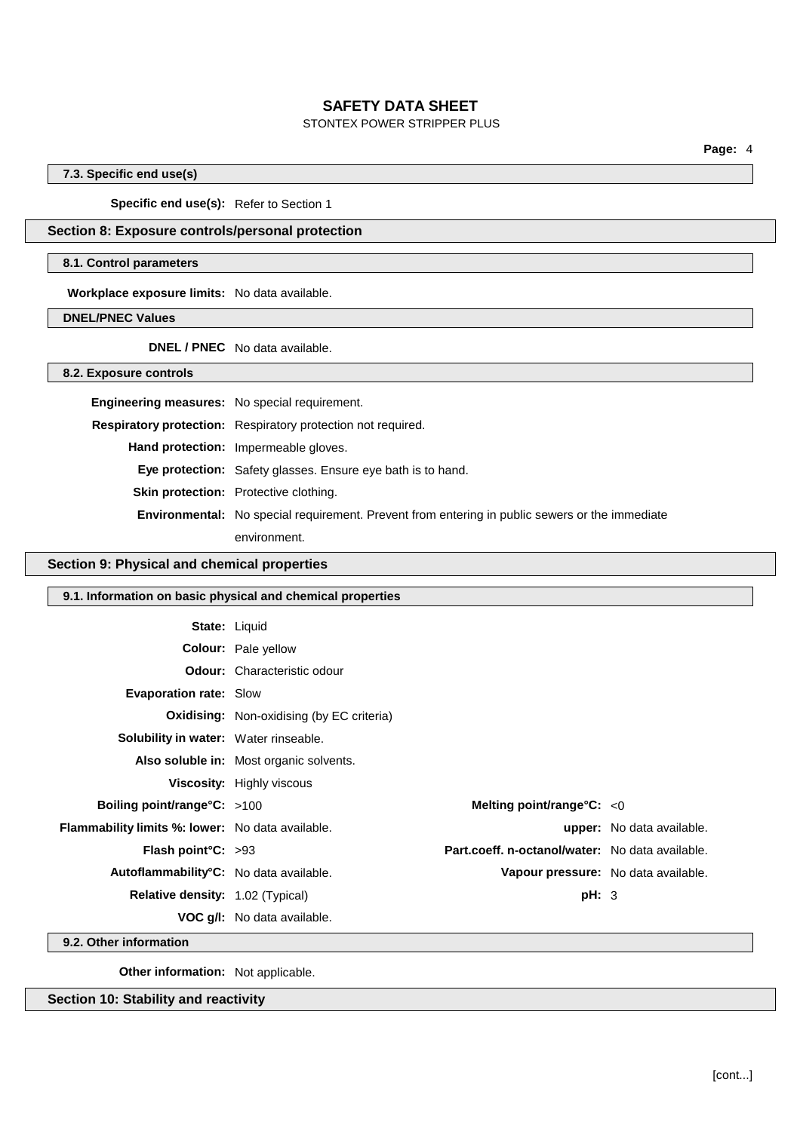# STONTEX POWER STRIPPER PLUS

**Page:** 4

# **7.3. Specific end use(s)**

**Specific end use(s):** Refer to Section 1

# **Section 8: Exposure controls/personal protection**

#### **8.1. Control parameters**

**Workplace exposure limits:** No data available.

**DNEL/PNEC Values**

**DNEL / PNEC** No data available.

**8.2. Exposure controls**

| <b>Engineering measures:</b> No special requirement. |                                                                                                       |
|------------------------------------------------------|-------------------------------------------------------------------------------------------------------|
|                                                      | Respiratory protection: Respiratory protection not required.                                          |
|                                                      | Hand protection: Impermeable gloves.                                                                  |
|                                                      | Eye protection: Safety glasses. Ensure eye bath is to hand.                                           |
|                                                      | <b>Skin protection:</b> Protective clothing.                                                          |
|                                                      | <b>Environmental:</b> No special requirement. Prevent from entering in public sewers or the immediate |
|                                                      | environment.                                                                                          |

# **Section 9: Physical and chemical properties**

| 9.1. Information on basic physical and chemical properties |                                                  |                                                 |                                  |  |  |
|------------------------------------------------------------|--------------------------------------------------|-------------------------------------------------|----------------------------------|--|--|
| <b>State: Liquid</b>                                       |                                                  |                                                 |                                  |  |  |
|                                                            | <b>Colour:</b> Pale yellow                       |                                                 |                                  |  |  |
|                                                            | <b>Odour:</b> Characteristic odour               |                                                 |                                  |  |  |
| <b>Evaporation rate: Slow</b>                              |                                                  |                                                 |                                  |  |  |
|                                                            | <b>Oxidising:</b> Non-oxidising (by EC criteria) |                                                 |                                  |  |  |
| <b>Solubility in water:</b> Water rinseable.               |                                                  |                                                 |                                  |  |  |
|                                                            | Also soluble in: Most organic solvents.          |                                                 |                                  |  |  |
|                                                            | <b>Viscosity:</b> Highly viscous                 |                                                 |                                  |  |  |
| <b>Boiling point/range°C:</b> >100                         |                                                  | Melting point/range $\textdegree$ C: < 0        |                                  |  |  |
| Flammability limits %: lower: No data available.           |                                                  |                                                 | <b>upper:</b> No data available. |  |  |
| <b>Flash point °C:</b> $>93$                               |                                                  | Part.coeff. n-octanol/water: No data available. |                                  |  |  |
| Autoflammability°C: No data available.                     |                                                  | Vapour pressure: No data available.             |                                  |  |  |
| Relative density: 1.02 (Typical)                           |                                                  | pH: 3                                           |                                  |  |  |
|                                                            | <b>VOC g/I:</b> No data available.               |                                                 |                                  |  |  |
| 9.2. Other information                                     |                                                  |                                                 |                                  |  |  |

**9.2. Other information**

**Other information:** Not applicable.

**Section 10: Stability and reactivity**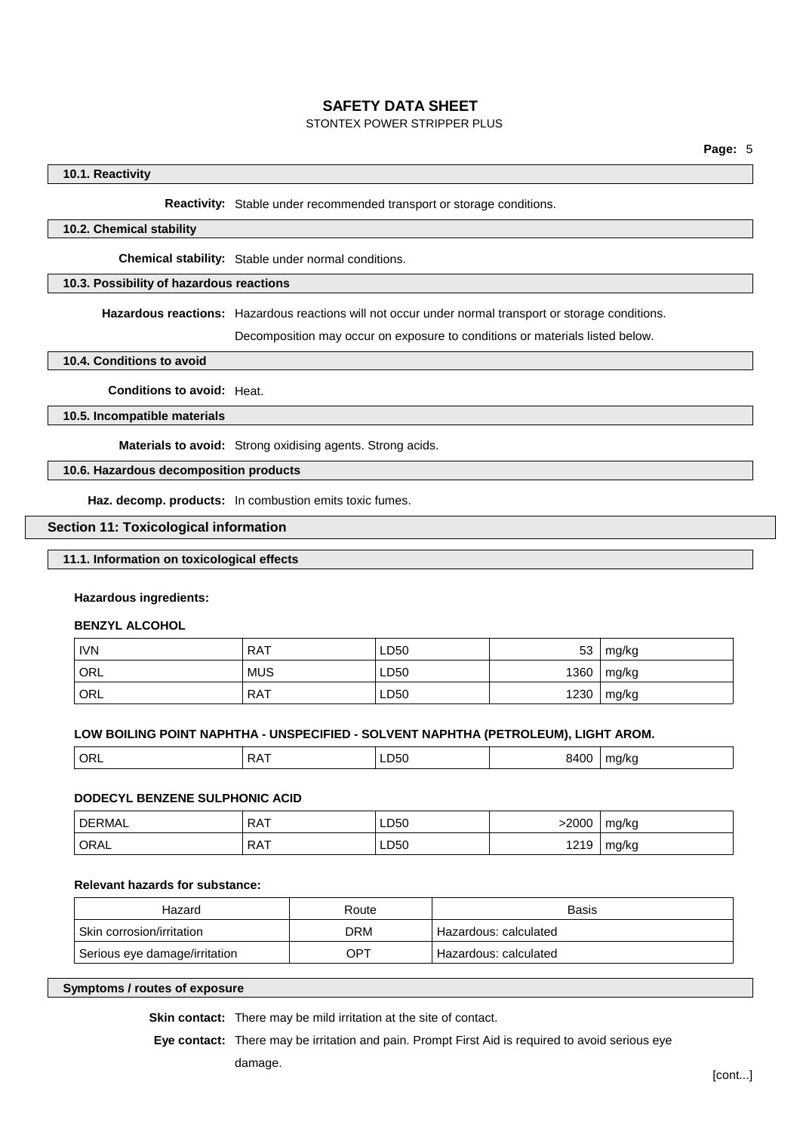# STONTEX POWER STRIPPER PLUS

# **10.1. Reactivity**

**Reactivity:** Stable under recommended transport or storage conditions.

## **10.2. Chemical stability**

**Chemical stability:** Stable under normal conditions.

# **10.3. Possibility of hazardous reactions**

**Hazardous reactions:** Hazardous reactions will not occur under normal transport or storage conditions.

Decomposition may occur on exposure to conditions or materials listed below.

**10.4. Conditions to avoid**

**Conditions to avoid:** Heat.

**10.5. Incompatible materials**

**Materials to avoid:** Strong oxidising agents. Strong acids.

**10.6. Hazardous decomposition products**

**Haz. decomp. products:** In combustion emits toxic fumes.

#### **Section 11: Toxicological information**

# **11.1. Information on toxicological effects**

#### **Hazardous ingredients:**

**BENZYL ALCOHOL**

| <b>IVN</b>         | <b>RAT</b> | LD50 | 53   | mg/kg |
|--------------------|------------|------|------|-------|
| $\overline{O}$ ORL | <b>MUS</b> | LD50 | 1360 | mg/kg |
| <sup>1</sup> ORL   | <b>RAT</b> | LD50 | 1230 | mg/kg |

#### **LOW BOILING POINT NAPHTHA - UNSPECIFIED - SOLVENT NAPHTHA (PETROLEUM), LIGHT AROM.**

| <sup>'</sup> ORL<br>RΑ |  | . . <i>.</i><br>LD50 | 840C | ma/ka |
|------------------------|--|----------------------|------|-------|
|------------------------|--|----------------------|------|-------|

#### **DODECYL BENZENE SULPHONIC ACID**

| DERMAL            | <b>RAT</b> | LD50 | 2000- | mg/kg |
|-------------------|------------|------|-------|-------|
| <sup>1</sup> ORAL | <b>RAT</b> | LD50 | 1219  | mg/kg |

## **Relevant hazards for substance:**

| Hazard                        | Route      | <b>Basis</b>            |
|-------------------------------|------------|-------------------------|
| Skin corrosion/irritation     | <b>DRM</b> | Hazardous: calculated   |
| Serious eye damage/irritation | OPT        | ' Hazardous: calculated |

**Symptoms / routes of exposure**

**Skin contact:** There may be mild irritation at the site of contact.

**Eye contact:** There may be irritation and pain. Prompt First Aid is required to avoid serious eye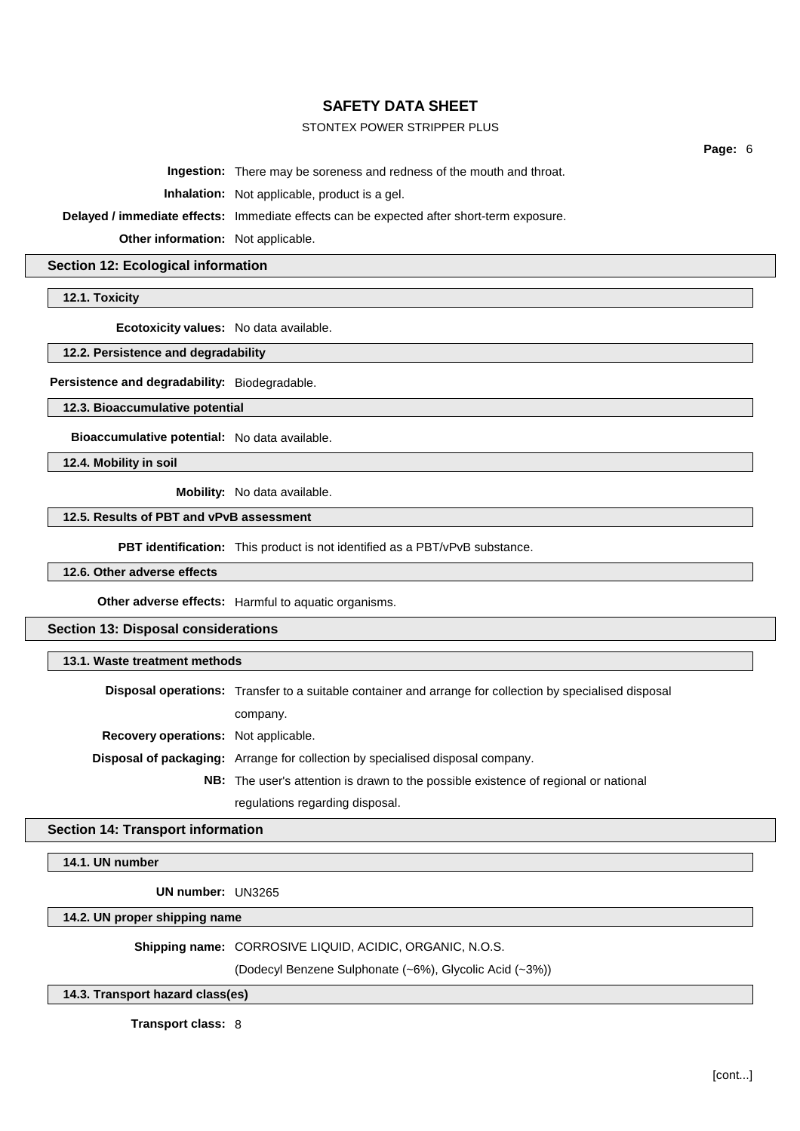# STONTEX POWER STRIPPER PLUS

**Page:** 6

**Ingestion:** There may be soreness and redness of the mouth and throat.

**Inhalation:** Not applicable, product is a gel.

**Delayed / immediate effects:** Immediate effects can be expected after short-term exposure.

**Other information:** Not applicable.

## **Section 12: Ecological information**

**12.1. Toxicity**

**Ecotoxicity values:** No data available.

## **12.2. Persistence and degradability**

**Persistence and degradability:** Biodegradable.

**12.3. Bioaccumulative potential**

**Bioaccumulative potential:** No data available.

**12.4. Mobility in soil**

**Mobility:** No data available.

# **12.5. Results of PBT and vPvB assessment**

**PBT identification:** This product is not identified as a PBT/vPvB substance.

**12.6. Other adverse effects**

**Other adverse effects:** Harmful to aquatic organisms.

**Section 13: Disposal considerations**

## **13.1. Waste treatment methods**

**Disposal operations:** Transfer to a suitable container and arrange for collection by specialised disposal company. **Recovery operations:** Not applicable. **Disposal of packaging:** Arrange for collection by specialised disposal company.

**NB:** The user's attention is drawn to the possible existence of regional or national regulations regarding disposal.

# **Section 14: Transport information**

**14.1. UN number**

**UN number:** UN3265

**14.2. UN proper shipping name**

**Shipping name:** CORROSIVE LIQUID, ACIDIC, ORGANIC, N.O.S.

(Dodecyl Benzene Sulphonate (~6%), Glycolic Acid (~3%))

# **14.3. Transport hazard class(es)**

**Transport class:** 8